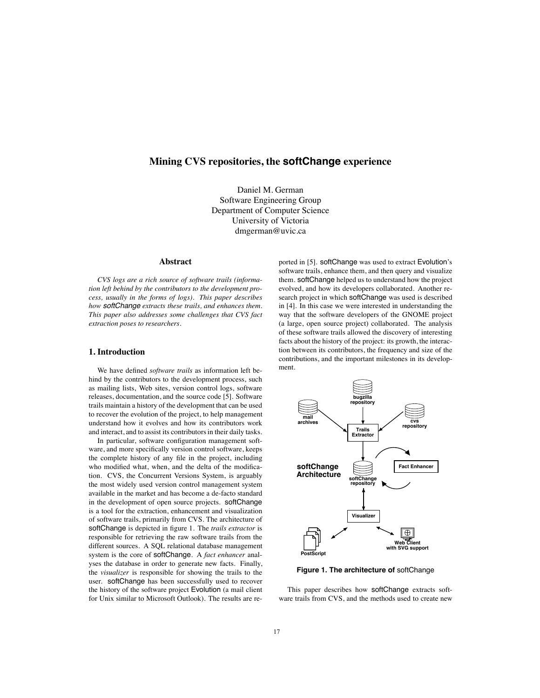# **Mining CVS repositories, the softChange experience**

Daniel M. German Software Engineering Group Department of Computer Science University of Victoria dmgerman@uvic.ca

# **Abstract**

*CVS logs are a rich source of software trails (information left behind by the contributors to the development process, usually in the forms of logs). This paper describes how softChange extracts these trails, and enhances them. This paper also addresses some challenges that CVS fact extraction poses to researchers.*

# **1. Introduction**

We have defined *software trails* as information left behind by the contributors to the development process, such as mailing lists, Web sites, version control logs, software releases, documentation, and the source code [5]. Software trails maintain a history of the development that can be used to recover the evolution of the project, to help management understand how it evolves and how its contributors work and interact, and to assist its contributors in their daily tasks.

In particular, software configuration management software, and more specifically version control software, keeps the complete history of any file in the project, including who modified what, when, and the delta of the modification. CVS, the Concurrent Versions System, is arguably the most widely used version control management system available in the market and has become a de-facto standard in the development of open source projects. softChange is a tool for the extraction, enhancement and visualization of software trails, primarily from CVS. The architecture of softChange is depicted in figure 1. The *trails extractor* is responsible for retrieving the raw software trails from the different sources. A SQL relational database management system is the core of softChange. A *fact enhancer* analyses the database in order to generate new facts. Finally, the *visualizer* is responsible for showing the trails to the user. softChange has been successfully used to recover the history of the software project Evolution (a mail client for Unix similar to Microsoft Outlook). The results are reported in [5]. softChange was used to extract Evolution's software trails, enhance them, and then query and visualize them. softChange helped us to understand how the project evolved, and how its developers collaborated. Another research project in which softChange was used is described in [4]. In this case we were interested in understanding the way that the software developers of the GNOME project (a large, open source project) collaborated. The analysis of these software trails allowed the discovery of interesting facts about the history of the project: its growth, the interaction between its contributors, the frequency and size of the contributions, and the important milestones in its development.



**Figure 1. The architecture of** softChange

This paper describes how softChange extracts software trails from CVS, and the methods used to create new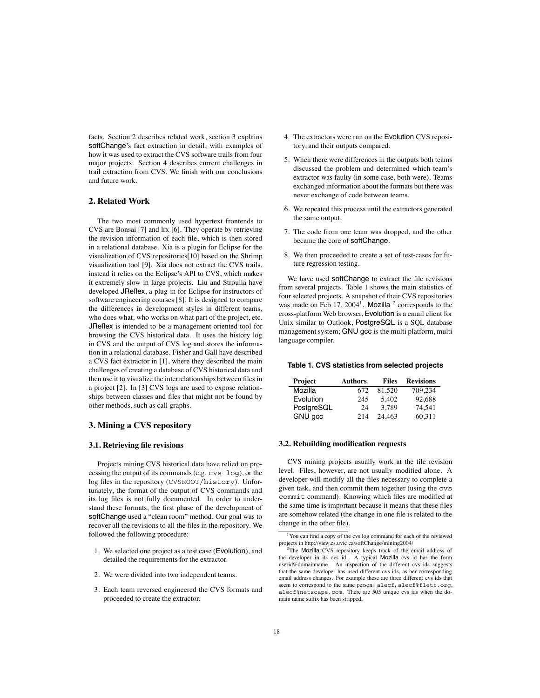facts. Section 2 describes related work, section 3 explains softChange's fact extraction in detail, with examples of how it was used to extract the CVS software trails from four major projects. Section 4 describes current challenges in trail extraction from CVS. We finish with our conclusions and future work.

# **2. Related Work**

The two most commonly used hypertext frontends to CVS are Bonsai [7] and lrx [6]. They operate by retrieving the revision information of each file, which is then stored in a relational database. Xia is a plugin for Eclipse for the visualization of CVS repositories[10] based on the Shrimp visualization tool [9]. Xia does not extract the CVS trails, instead it relies on the Eclipse's API to CVS, which makes it extremely slow in large projects. Liu and Stroulia have developed JReflex, a plug-in for Eclipse for instructors of software engineering courses [8]. It is designed to compare the differences in development styles in different teams, who does what, who works on what part of the project, etc. JReflex is intended to be a management oriented tool for browsing the CVS historical data. It uses the history log in CVS and the output of CVS log and stores the information in a relational database. Fisher and Gall have described a CVS fact extractor in [1], where they described the main challenges of creating a database of CVS historical data and then use it to visualize the interrelationships between files in a project [2]. In [3] CVS logs are used to expose relationships between classes and files that might not be found by other methods, such as call graphs.

# **3. Mining a CVS repository**

# **3.1. Retrieving file revisions**

Projects mining CVS historical data have relied on processing the output of its commands (e.g. cvs log), or the log files in the repository (CVSROOT/history). Unfortunately, the format of the output of CVS commands and its log files is not fully documented. In order to understand these formats, the first phase of the development of softChange used a "clean room" method. Our goal was to recover all the revisions to all the files in the repository. We followed the following procedure:

- 1. We selected one project as a test case (Evolution), and detailed the requirements for the extractor.
- 2. We were divided into two independent teams.
- 3. Each team reversed engineered the CVS formats and proceeded to create the extractor.
- 4. The extractors were run on the Evolution CVS repository, and their outputs compared.
- 5. When there were differences in the outputs both teams discussed the problem and determined which team's extractor was faulty (in some case, both were). Teams exchanged information about the formats but there was never exchange of code between teams.
- 6. We repeated this process until the extractors generated the same output.
- 7. The code from one team was dropped, and the other became the core of softChange.
- 8. We then proceeded to create a set of test-cases for future regression testing.

We have used softChange to extract the file revisions from several projects. Table 1 shows the main statistics of four selected projects. A snapshot of their CVS repositories was made on Feb  $17, 2004<sup>1</sup>$ . Mozilla <sup>2</sup> corresponds to the cross-platform Web browser, Evolution is a email client for Unix similar to Outlook, PostgreSQL is a SQL database management system; GNU gcc is the multi platform, multi language compiler.

#### **Table 1. CVS statistics from selected projects**

| Project    | Authors. | Files  | <b>Revisions</b> |
|------------|----------|--------|------------------|
| Mozilla    | 672      | 81.520 | 709.234          |
| Evolution  | 245      | 5.402  | 92.688           |
| PostgreSQL | 24       | 3.789  | 74.541           |
| GNU gcc    | 214      | 24.463 | 60.311           |

#### **3.2. Rebuilding modification requests**

CVS mining projects usually work at the file revision level. Files, however, are not usually modified alone. A developer will modify all the files necessary to complete a given task, and then commit them together (using the cvs commit command). Knowing which files are modified at the same time is important because it means that these files are somehow related (the change in one file is related to the change in the other file).

<sup>1</sup>You can find a copy of the cvs log command for each of the reviewed projects in http://view.cs.uvic.ca/softChange/mining2004/

<sup>&</sup>lt;sup>2</sup>The Mozilla CVS repository keeps track of the email address of the developer in its cvs id. A typical Mozilla cvs id has the form userid%domainname. An inspection of the different cvs ids suggests that the same developer has used different cvs ids, as her corresponding email address changes. For example these are three different cvs ids that seem to correspond to the same person: alecf, alecf%flett.org, alecf%netscape.com. There are 505 unique cvs ids when the domain name suffix has been stripped.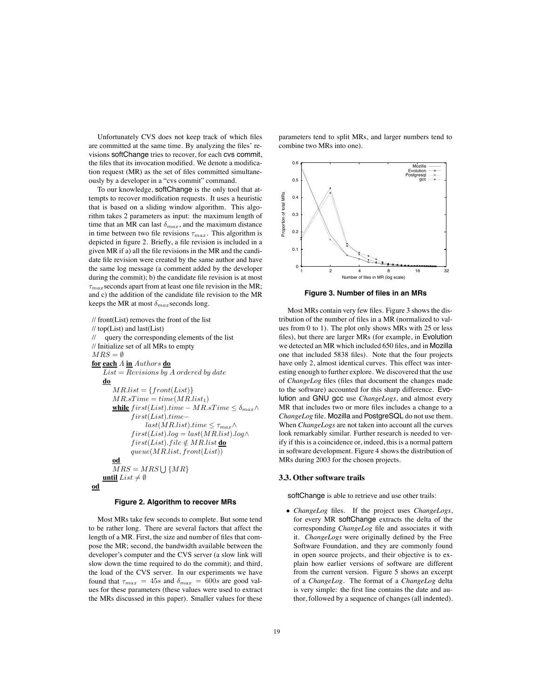Unfortunately CVS does not keep track of which files are committed at the same time. By analyzing the files' revisions softChange tries to recover, for each cvs commit, the files that its invocation modified. We denote a modification request (MR) as the set of files committed simultaneously by a developer in a "cvs commit" command.

To our knowledge, softChange is the only tool that attempts to recover modification requests. It uses a heuristic that is based on a sliding window algorithm. This algorithm takes 2 parameters as input: the maximum length of time that an MR can last  $\delta_{max}$ , and the maximum distance in time between two file revisions  $\tau_{max}$ . This algorithm is depicted in figure 2. Briefly, a file revision is included in a given MR if a) all the file revisions in the MR and the candidate file revision were created by the same author and have the same log message (a comment added by the developer during the commit); b) the candidate file revision is at most  $\tau_{max}$  seconds apart from at least one file revision in the MR; and c) the addition of the candidate file revision to the MR keeps the MR at most  $\delta_{max}$  seconds long.

```
// front(List) removes the front of the list
// top(List) and last(List)
// query the corresponding elements of the list
// Initialize set of all MRs to empty
MRS = \emptysetfor each A in Authors do
    List = Revisions by A ordered by datedo
       MR-list = \{front(List)\}MR.sTime = time(MR.list_1)while first(List) .time - MR.sTime ≤ δ_{max}∧
             first(List).time-last(MR.list) .time \leq \tau_{max} \wedgefirst(List).log = last(MR.list).log \wedgefirst(List).file \notin MR_list \underline{\textbf{do}}queue(MR-list, front(List))od
       MRS = MRS \bigcup \{MR\}until List \neq \emptysetod
```
#### **Figure 2. Algorithm to recover MRs**

Most MRs take few seconds to complete. But some tend to be rather long. There are several factors that affect the length of a MR. First, the size and number of files that compose the MR; second, the bandwidth available between the developer's computer and the CVS server (a slow link will slow down the time required to do the commit); and third, the load of the CVS server. In our experiments we have found that  $\tau_{max} = 45s$  and  $\delta_{max} = 600s$  are good values for these parameters (these values were used to extract the MRs discussed in this paper). Smaller values for these

parameters tend to split MRs, and larger numbers tend to combine two MRs into one).



**Figure 3. Number of files in an MRs**

Most MRs contain very few files. Figure 3 shows the distribution of the number of files in a MR (normalized to values from 0 to 1). The plot only shows MRs with 25 or less files), but there are larger MRs (for example, in Evolution we detected an MR which included 650 files, and in Mozilla one that included 5838 files). Note that the four projects have only 2, almost identical curves. This effect was interesting enough to further explore. We discovered that the use of *ChangeLog* files (files that document the changes made to the software) accounted for this sharp difference. Evolution and GNU gcc use *ChangeLogs*, and almost every MR that includes two or more files includes a change to a *ChangeLog* file. Mozilla and PostgreSQL do not use them. When *ChangeLogs* are not taken into account all the curves look remarkably similar. Further research is needed to verify if this is a coincidence or, indeed, this is a normal pattern in software development. Figure 4 shows the distribution of MRs during 2003 for the chosen projects.

#### **3.3. Other software trails**

softChange is able to retrieve and use other trails:

• *ChangeLog* files. If the project uses *ChangeLogs*, for every MR softChange extracts the delta of the corresponding *ChangeLog* file and associates it with it. *ChangeLogs* were originally defined by the Free Software Foundation, and they are commonly found in open source projects, and their objective is to explain how earlier versions of software are different from the current version. Figure 5 shows an excerpt of a *ChangeLog*. The format of a *ChangeLog* delta is very simple: the first line contains the date and author, followed by a sequence of changes (all indented).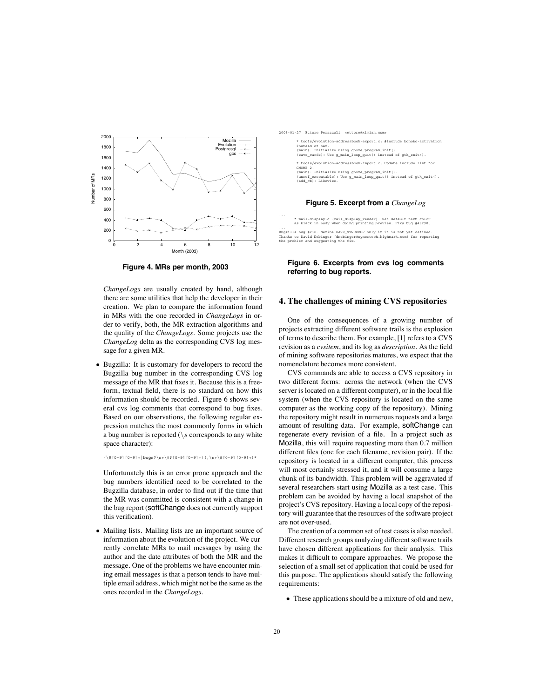

**Figure 4. MRs per month, 2003**

*ChangeLogs* are usually created by hand, although there are some utilities that help the developer in their creation. We plan to compare the information found in MRs with the one recorded in *ChangeLogs* in order to verify, both, the MR extraction algorithms and the quality of the *ChangeLogs*. Some projects use the *ChangeLog* delta as the corresponding CVS log message for a given MR.

• Bugzilla: It is customary for developers to record the Bugzilla bug number in the corresponding CVS log message of the MR that fixes it. Because this is a freeform, textual field, there is no standard on how this information should be recorded. Figure 6 shows several cvs log comments that correspond to bug fixes. Based on our observations, the following regular expression matches the most commonly forms in which a bug number is reported  $(\s$  corresponds to any white space character):

 $(\{0-9\}+[0-9]+|bugs?\s+\\#?0-9]$ [0-9]+) (,\s+\#[0-9][0-9]+)\*

Unfortunately this is an error prone approach and the bug numbers identified need to be correlated to the Bugzilla database, in order to find out if the time that the MR was committed is consistent with a change in the bug report (softChange does not currently support this verification).

• Mailing lists. Mailing lists are an important source of information about the evolution of the project. We currently correlate MRs to mail messages by using the author and the date attributes of both the MR and the message. One of the problems we have encounter mining email messages is that a person tends to have multiple email address, which might not be the same as the ones recorded in the *ChangeLogs*.

2003-01-27 Ettore Perazzoli <ettore@ximian.com>

\* tools/evolution-addressbook-export.c: #include bonobo-activation instead of oaf. (main): Initialize using gnome\_program\_init(). (save\_cards): Use g\_main\_loop\_quit() instead of gtk\_exit(). \* tools/evolution-addressbook-import.c: Update include list for GNOME 2. (main): Initialize using gnome\_program\_init(). (unref\_executable): Use g\_main\_loop\_quit() instead of gtk\_exit(). (add\_cb): Likewise.

### **Figure 5. Excerpt from a** *ChangeLog*

\* mail-display.c (mail\_display\_render): Set default text color as black in body when doing printing preview. Fixs bug #48290.

...<br>Bugzilla bug #218: define HAVE\_STRERROR only if it is not yet defined.<br>Thanks to David Nebinger (dnebinger@synertech.highmark.com) for reporting<br>the problem and suggesting the fix.

### **Figure 6. Excerpts from cvs log comments referring to bug reports.**

# **4. The challenges of mining CVS repositories**

One of the consequences of a growing number of projects extracting different software trails is the explosion of terms to describe them. For example, [1] refers to a CVS revision as a *cvsitem*, and its log as *description*. As the field of mining software repositories matures, we expect that the nomenclature becomes more consistent.

CVS commands are able to access a CVS repository in two different forms: across the network (when the CVS server is located on a different computer), or in the local file system (when the CVS repository is located on the same computer as the working copy of the repository). Mining the repository might result in numerous requests and a large amount of resulting data. For example, softChange can regenerate every revision of a file. In a project such as Mozilla, this will require requesting more than 0.7 million different files (one for each filename, revision pair). If the repository is located in a different computer, this process will most certainly stressed it, and it will consume a large chunk of its bandwidth. This problem will be aggravated if several researchers start using Mozilla as a test case. This problem can be avoided by having a local snapshot of the project's CVS repository. Having a local copy of the repository will guarantee that the resources of the software project are not over-used.

The creation of a common set of test cases is also needed. Different research groups analyzing different software trails have chosen different applications for their analysis. This makes it difficult to compare approaches. We propose the selection of a small set of application that could be used for this purpose. The applications should satisfy the following requirements:

• These applications should be a mixture of old and new,